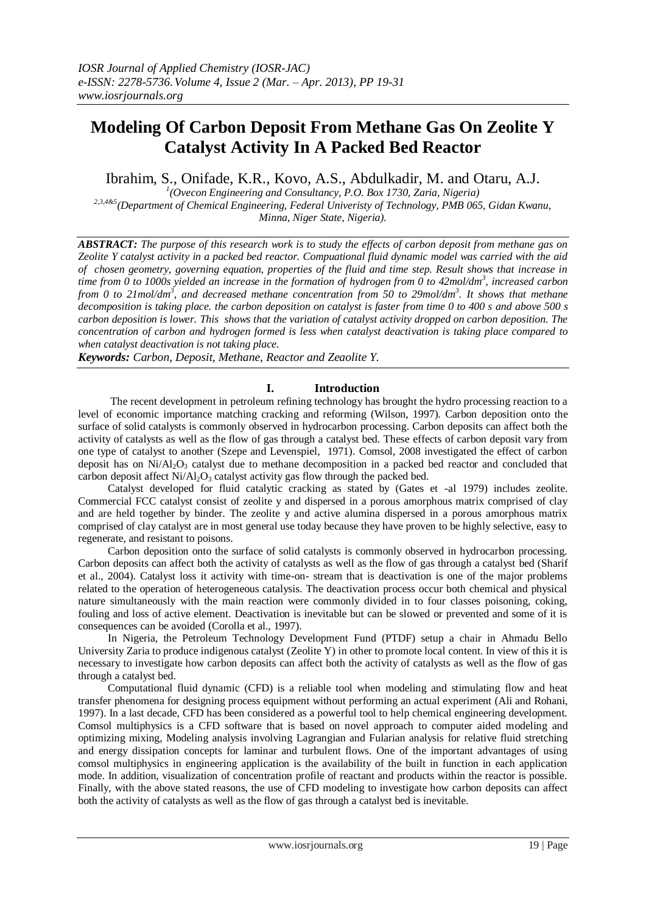# **Modeling Of Carbon Deposit From Methane Gas On Zeolite Y Catalyst Activity In A Packed Bed Reactor**

Ibrahim, S., Onifade, K.R., Kovo, A.S., Abdulkadir, M. and Otaru, A.J.

*1 (Ovecon Engineering and Consultancy, P.O. Box 1730, Zaria, Nigeria) 2,3,4&5(Department of Chemical Engineering, Federal Univeristy of Technology, PMB 065, Gidan Kwanu, Minna, Niger State, Nigeria).*

*ABSTRACT: The purpose of this research work is to study the effects of carbon deposit from methane gas on Zeolite Y catalyst activity in a packed bed reactor. Compuational fluid dynamic model was carried with the aid of chosen geometry, governing equation, properties of the fluid and time step. Result shows that increase in time from 0 to 1000s yielded an increase in the formation of hydrogen from 0 to 42mol/dm<sup>3</sup> , increased carbon from 0 to 21mol/dm<sup>3</sup> , and decreased methane concentration from 50 to 29mol/dm<sup>3</sup> . It shows that methane decomposition is taking place. the carbon deposition on catalyst is faster from time 0 to 400 s and above 500 s carbon deposition is lower. This shows that the variation of catalyst activity dropped on carbon deposition. The concentration of carbon and hydrogen formed is less when catalyst deactivation is taking place compared to when catalyst deactivation is not taking place.* 

*Keywords: Carbon, Deposit, Methane, Reactor and Zeaolite Y.* 

# **I. Introduction**

 The recent development in petroleum refining technology has brought the hydro processing reaction to a level of economic importance matching cracking and reforming (Wilson, 1997). Carbon deposition onto the surface of solid catalysts is commonly observed in hydrocarbon processing. Carbon deposits can affect both the activity of catalysts as well as the flow of gas through a catalyst bed. These effects of carbon deposit vary from one type of catalyst to another (Szepe and Levenspiel, 1971). Comsol, 2008 investigated the effect of carbon deposit has on  $Ni/Al<sub>2</sub>O<sub>3</sub>$  catalyst due to methane decomposition in a packed bed reactor and concluded that carbon deposit affect  $Ni/Al<sub>2</sub>O<sub>3</sub>$  catalyst activity gas flow through the packed bed.

 Catalyst developed for fluid catalytic cracking as stated by (Gates et -al 1979) includes zeolite. Commercial FCC catalyst consist of zeolite y and dispersed in a porous amorphous matrix comprised of clay and are held together by binder. The zeolite y and active alumina dispersed in a porous amorphous matrix comprised of clay catalyst are in most general use today because they have proven to be highly selective, easy to regenerate, and resistant to poisons.

 Carbon deposition onto the surface of solid catalysts is commonly observed in hydrocarbon processing. Carbon deposits can affect both the activity of catalysts as well as the flow of gas through a catalyst bed (Sharif et al., 2004). Catalyst loss it activity with time-on- stream that is deactivation is one of the major problems related to the operation of heterogeneous catalysis. The deactivation process occur both chemical and physical nature simultaneously with the main reaction were commonly divided in to four classes poisoning, coking, fouling and loss of active element. Deactivation is inevitable but can be slowed or prevented and some of it is consequences can be avoided (Corolla et al., 1997).

 In Nigeria, the Petroleum Technology Development Fund (PTDF) setup a chair in Ahmadu Bello University Zaria to produce indigenous catalyst (Zeolite Y) in other to promote local content. In view of this it is necessary to investigate how carbon deposits can affect both the activity of catalysts as well as the flow of gas through a catalyst bed.

 Computational fluid dynamic (CFD) is a reliable tool when modeling and stimulating flow and heat transfer phenomena for designing process equipment without performing an actual experiment (Ali and Rohani, 1997). In a last decade, CFD has been considered as a powerful tool to help chemical engineering development. Comsol multiphysics is a CFD software that is based on novel approach to computer aided modeling and optimizing mixing, Modeling analysis involving Lagrangian and Fularian analysis for relative fluid stretching and energy dissipation concepts for laminar and turbulent flows. One of the important advantages of using comsol multiphysics in engineering application is the availability of the built in function in each application mode. In addition, visualization of concentration profile of reactant and products within the reactor is possible. Finally, with the above stated reasons, the use of CFD modeling to investigate how carbon deposits can affect both the activity of catalysts as well as the flow of gas through a catalyst bed is inevitable.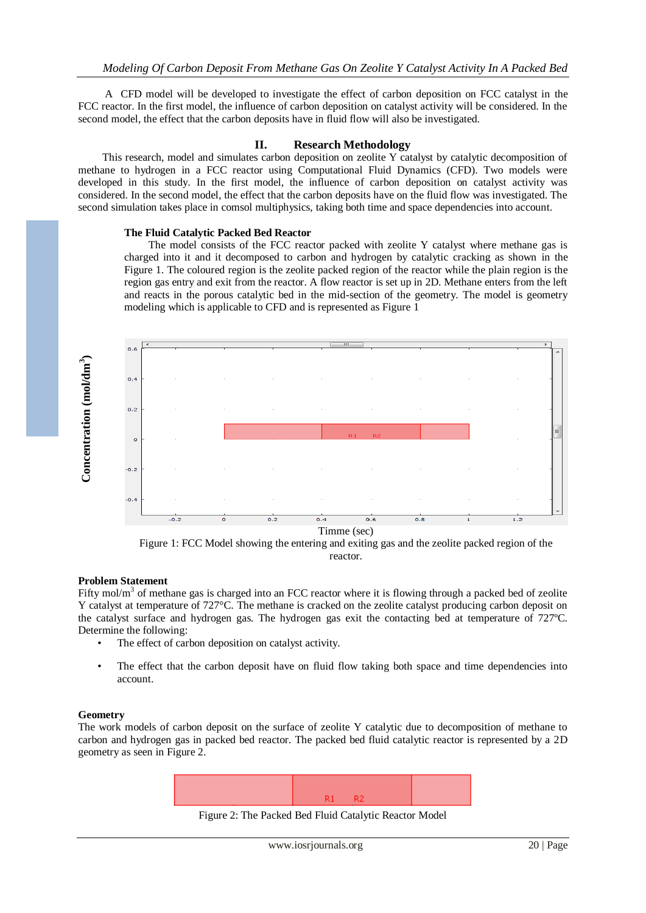A CFD model will be developed to investigate the effect of carbon deposition on FCC catalyst in the FCC reactor. In the first model, the influence of carbon deposition on catalyst activity will be considered. In the second model, the effect that the carbon deposits have in fluid flow will also be investigated.

# **II. Research Methodology**

This research, model and simulates carbon deposition on zeolite Y catalyst by catalytic decomposition of methane to hydrogen in a FCC reactor using Computational Fluid Dynamics (CFD). Two models were developed in this study. In the first model, the influence of carbon deposition on catalyst activity was considered. In the second model, the effect that the carbon deposits have on the fluid flow was investigated. The second simulation takes place in comsol multiphysics, taking both time and space dependencies into account.

### **The Fluid Catalytic Packed Bed Reactor**

 The model consists of the FCC reactor packed with zeolite Y catalyst where methane gas is charged into it and it decomposed to carbon and hydrogen by catalytic cracking as shown in the Figure 1. The coloured region is the zeolite packed region of the reactor while the plain region is the region gas entry and exit from the reactor. A flow reactor is set up in 2D. Methane enters from the left and reacts in the porous catalytic bed in the mid-section of the geometry. The model is geometry modeling which is applicable to CFD and is represented as Figure 1



Figure 1: FCC Model showing the entering and exiting gas and the zeolite packed region of the reactor.

#### **Problem Statement**

Fifty mol/ $m<sup>3</sup>$  of methane gas is charged into an FCC reactor where it is flowing through a packed bed of zeolite Y catalyst at temperature of 727°C. The methane is cracked on the zeolite catalyst producing carbon deposit on the catalyst surface and hydrogen gas. The hydrogen gas exit the contacting bed at temperature of 727ºC. Determine the following:

- The effect of carbon deposition on catalyst activity.
- The effect that the carbon deposit have on fluid flow taking both space and time dependencies into account.

#### **Geometry**

The work models of carbon deposit on the surface of zeolite Y catalytic due to decomposition of methane to carbon and hydrogen gas in packed bed reactor. The packed bed fluid catalytic reactor is represented by a 2D geometry as seen in Figure 2.



Figure 2: The Packed Bed Fluid Catalytic Reactor Model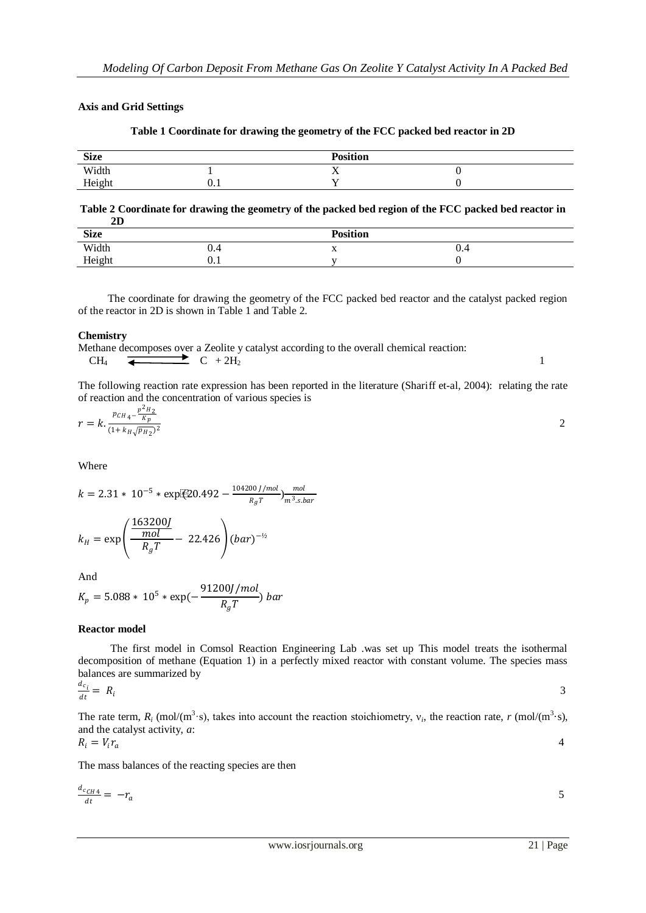# **Axis and Grid Settings**

| <b>Size</b> |      | <b>Position</b>        |  |
|-------------|------|------------------------|--|
| Width       |      | $ -$<br>$\overline{ }$ |  |
| Height      | v. i | . .                    |  |

## **Table 1 Coordinate for drawing the geometry of the FCC packed bed reactor in 2D**

**Table 2 Coordinate for drawing the geometry of the packed bed region of the FCC packed bed reactor in 2D**

| <b>Size</b> |          | <b>Position</b> |     |  |
|-------------|----------|-----------------|-----|--|
| Width       | n<br>v.4 | $\Lambda$       | ∪.⊣ |  |
| Height      | v. i     |                 |     |  |

 The coordinate for drawing the geometry of the FCC packed bed reactor and the catalyst packed region of the reactor in 2D is shown in Table 1 and Table 2.

### **Chemistry**

Methane decomposes over a Zeolite y catalyst according to the overall chemical reaction:  $CH_4$   $\leftarrow$   $C + 2H_2$  1

The following reaction rate expression has been reported in the literature (Shariff et-al, 2004): relating the rate of reaction and the concentration of various species is

$$
r = k \cdot \frac{p_{CH_4} - \frac{p^2 H_2}{K_p}}{(1 + k_H \sqrt{p_{H_2}})^2}
$$

Where

 $k = 2.31 * 10^{-5} * \exp[(20.492 - \frac{104200}{R_{\odot}T})]$  $\frac{00 J/mol}{R_g T}$ ) $\frac{mol}{m^3 s.l}$  $m<sup>3</sup>$ .s.bar  $k_H = \exp$ 163200  $_{mol}$  $\frac{mol}{R_gT}$  – 22.426  $\bigg)(bar)^{-1/2}$ 

And

$$
K_p = 5.088 * 10^5 * \exp(-\frac{91200J/mol}{R_gT}) bar
$$

#### **Reactor model**

 The first model in Comsol Reaction Engineering Lab .was set up This model treats the isothermal decomposition of methane (Equation 1) in a perfectly mixed reactor with constant volume. The species mass balances are summarized by  $d_c$ 

$$
\frac{1}{dt} = R_i
$$

The rate term,  $R_i$  (mol/(m<sup>3</sup>·s), takes into account the reaction stoichiometry,  $v_i$ , the reaction rate,  $r$  (mol/(m<sup>3</sup>·s), and the catalyst activity, *a*:  $R_i=V_i r$ 4

$$
i = v_i r_a
$$

The mass balances of the reacting species are then

$$
\frac{d_{cCH4}}{dt} = -r_a \tag{5}
$$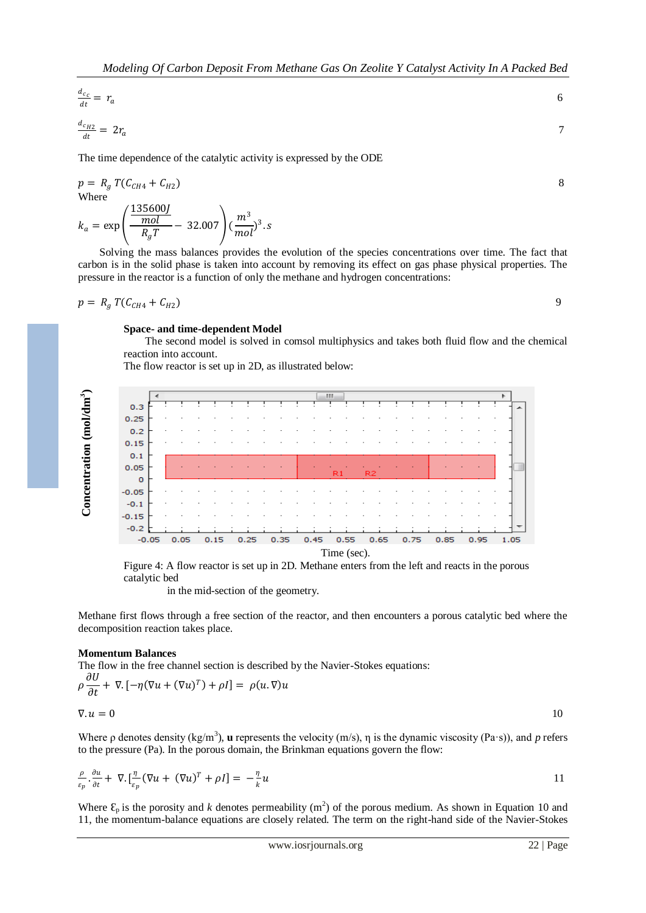$$
\frac{d_{c_c}}{dt} = r_a \tag{6}
$$
\n
$$
\frac{d_{c_H2}}{dt} = 2r_a \tag{7}
$$

The time dependence of the catalytic activity is expressed by the ODE

$$
p = R_g T(C_{CH4} + C_{H2})
$$
  
Where

$$
k_a = \exp\left(\frac{\frac{135600J}{mol}}{R_gT} - 32.007\right)(\frac{m^3}{mol})^3.s
$$

 Solving the mass balances provides the evolution of the species concentrations over time. The fact that carbon is in the solid phase is taken into account by removing its effect on gas phase physical properties. The pressure in the reactor is a function of only the methane and hydrogen concentrations:

$$
p = R_g T(C_{CH4} + C_{H2})
$$

 $\overline{dt}$ 

#### **Space- and time-dependent Model**

 The second model is solved in comsol multiphysics and takes both fluid flow and the chemical reaction into account.

The flow reactor is set up in 2D, as illustrated below:



Figure 4: A flow reactor is set up in 2D. Methane enters from the left and reacts in the porous catalytic bed

in the mid-section of the geometry.

Methane first flows through a free section of the reactor, and then encounters a porous catalytic bed where the decomposition reaction takes place.

#### **Momentum Balances**

The flow in the free channel section is described by the Navier-Stokes equations:  $211$ 

$$
\rho \frac{\partial U}{\partial t} + \nabla \cdot \left[ -\eta (\nabla u + (\nabla u)^T) + \rho I \right] = \rho(u, \nabla) u
$$
  

$$
\nabla \cdot u = 0
$$

Where p denotes density (kg/m<sup>3</sup>), **u** represents the velocity (m/s),  $\eta$  is the dynamic viscosity (Pa·s)), and *p* refers to the pressure (Pa). In the porous domain, the Brinkman equations govern the flow:

$$
\frac{\rho}{\varepsilon_p} \cdot \frac{\partial u}{\partial t} + \nabla \cdot \left[ \frac{\eta}{\varepsilon_p} (\nabla u + (\nabla u)^T + \rho I) \right] = -\frac{\eta}{k} u
$$

Where  $\mathcal{E}_p$  is the porosity and *k* denotes permeability (m<sup>2</sup>) of the porous medium. As shown in Equation 10 and 11, the momentum-balance equations are closely related. The term on the right-hand side of the Navier-Stokes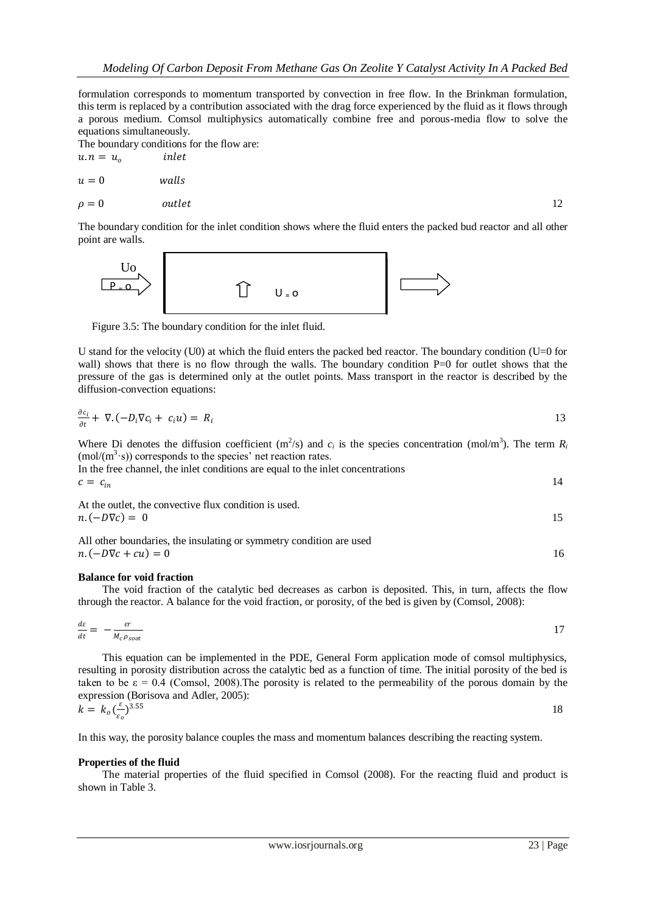formulation corresponds to momentum transported by convection in free flow. In the Brinkman formulation, this term is replaced by a contribution associated with the drag force experienced by the fluid as it flows through a porous medium. Comsol multiphysics automatically combine free and porous-media flow to solve the equations simultaneously.

The boundary conditions for the flow are:

$$
u \cdot n = u_o \t\t inlet
$$
  
\n
$$
u = 0 \t\t walk
$$
  
\n
$$
\rho = 0 \t\t outlet
$$

The boundary condition for the inlet condition shows where the fluid enters the packed bud reactor and all other point are walls.



Figure 3.5: The boundary condition for the inlet fluid.

U stand for the velocity (U0) at which the fluid enters the packed bed reactor. The boundary condition (U=0 for wall) shows that there is no flow through the walls. The boundary condition P=0 for outlet shows that the pressure of the gas is determined only at the outlet points. Mass transport in the reactor is described by the diffusion-convection equations:

$$
\frac{\partial c_i}{\partial t} + \nabla \cdot (-D_i \nabla c_i + c_i u) = R_i
$$

Where Di denotes the diffusion coefficient  $(m^2/s)$  and  $c_i$  is the species concentration (mol/m<sup>3</sup>). The term  $R_i$  $(mol/(m<sup>3</sup>·s))$  corresponds to the species' net reaction rates. In the free channel, the inlet conditions are equal to the inlet concentrations  $c = c_{in}$ 14

At the outlet, the convective flux condition is used.  $n. (-D\nabla c) = 0$  15

All other boundaries, the insulating or symmetry condition are used  $n. (-D\nabla c + cu) = 0$  16

#### **Balance for void fraction**

 The void fraction of the catalytic bed decreases as carbon is deposited. This, in turn, affects the flow through the reactor. A balance for the void fraction, or porosity, of the bed is given by (Comsol, 2008):

$$
\frac{d\varepsilon}{dt} = -\frac{\varepsilon r}{M_c \rho_{soot}} \tag{17}
$$

 This equation can be implemented in the PDE, General Form application mode of comsol multiphysics, resulting in porosity distribution across the catalytic bed as a function of time. The initial porosity of the bed is taken to be  $\varepsilon = 0.4$  (Comsol, 2008). The porosity is related to the permeability of the porous domain by the expression (Borisova and Adler, 2005):

$$
k = k_o \left(\frac{\varepsilon}{\varepsilon_o}\right)^{3.55} \tag{18}
$$

In this way, the porosity balance couples the mass and momentum balances describing the reacting system.

#### **Properties of the fluid**

 The material properties of the fluid specified in Comsol (2008). For the reacting fluid and product is shown in Table 3.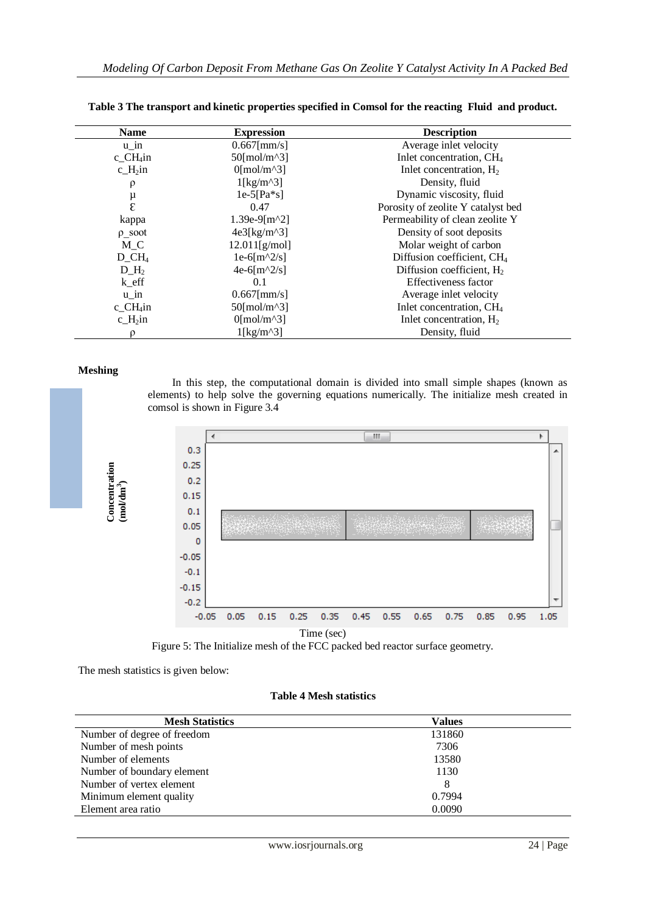| <b>Name</b>           | <b>Expression</b>                | <b>Description</b>                     |
|-----------------------|----------------------------------|----------------------------------------|
| $u$ <sub>in</sub>     | $0.667$ [mm/s]                   | Average inlet velocity                 |
| $c_C H_4$ in          | $50$ [mol/m^3]                   | Inlet concentration, CH <sub>4</sub>   |
| $c_H\sin$             | $0$ [mol/m^3]                    | Inlet concentration, $H_2$             |
| ρ                     | $1$ [kg/m^3]                     | Density, fluid                         |
|                       | $1e-5[Pa*s]$                     | Dynamic viscosity, fluid               |
| $_{\epsilon}^{\mu}$   | 0.47                             | Porosity of zeolite Y catalyst bed     |
| kappa                 | $1.39e-9[m^2]$                   | Permeability of clean zeolite Y        |
| $\rho$ _soot          | $4e3[kg/m^3]$                    | Density of soot deposits               |
| M C                   | 12.011[g/mol]                    | Molar weight of carbon                 |
| $D_CH_4$              | $1e-6\lceil m^2/5 \rceil$        | Diffusion coefficient, CH <sub>4</sub> |
| $D$ H <sub>2</sub>    | $4e-6\left[\frac{m}{2/s}\right]$ | Diffusion coefficient, $H_2$           |
| $k$ <sub>_eff</sub>   | 0.1                              | Effectiveness factor                   |
| $u_in$                | $0.667$ [mm/s]                   | Average inlet velocity                 |
| $c_C H_4$ in          | $50$ [mol/m^3]                   | Inlet concentration, CH <sub>4</sub>   |
| $c_H$ <sub>2</sub> in | $0$ [mol/m^3]                    | Inlet concentration, $H_2$             |
|                       | $1$ [kg/m^3]                     | Density, fluid                         |

| Table 3 The transport and kinetic properties specified in Comsol for the reacting Fluid and product. |
|------------------------------------------------------------------------------------------------------|
|------------------------------------------------------------------------------------------------------|

#### **Meshing**

 In this step, the computational domain is divided into small simple shapes (known as elements) to help solve the governing equations numerically. The initialize mesh created in comsol is shown in Figure 3.4



Figure 5: The Initialize mesh of the FCC packed bed reactor surface geometry.

The mesh statistics is given below:

#### **Table 4 Mesh statistics**

| <b>Mesh Statistics</b>      | <b>Values</b> |  |
|-----------------------------|---------------|--|
| Number of degree of freedom | 131860        |  |
| Number of mesh points       | 7306          |  |
| Number of elements          | 13580         |  |
| Number of boundary element  | 1130          |  |
| Number of vertex element    | 8             |  |
| Minimum element quality     | 0.7994        |  |
| Element area ratio          | 0.0090        |  |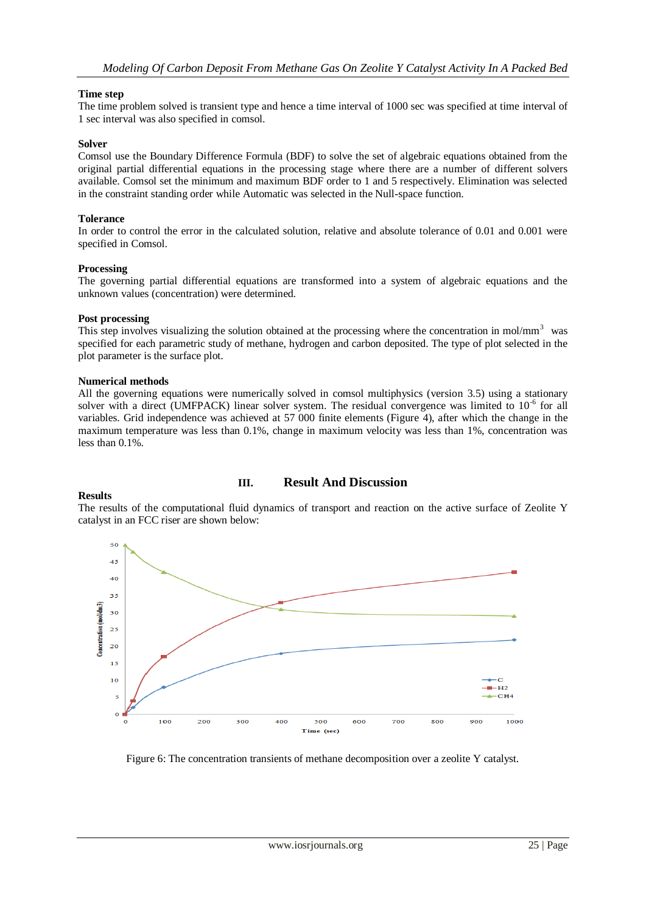### **Time step**

The time problem solved is transient type and hence a time interval of 1000 sec was specified at time interval of 1 sec interval was also specified in comsol.

### **Solver**

Comsol use the Boundary Difference Formula (BDF) to solve the set of algebraic equations obtained from the original partial differential equations in the processing stage where there are a number of different solvers available. Comsol set the minimum and maximum BDF order to 1 and 5 respectively. Elimination was selected in the constraint standing order while Automatic was selected in the Null-space function.

### **Tolerance**

In order to control the error in the calculated solution, relative and absolute tolerance of 0.01 and 0.001 were specified in Comsol.

#### **Processing**

The governing partial differential equations are transformed into a system of algebraic equations and the unknown values (concentration) were determined.

#### **Post processing**

This step involves visualizing the solution obtained at the processing where the concentration in mol/mm<sup>3</sup> was specified for each parametric study of methane, hydrogen and carbon deposited. The type of plot selected in the plot parameter is the surface plot.

#### **Numerical methods**

All the governing equations were numerically solved in comsol multiphysics (version 3.5) using a stationary solver with a direct (UMFPACK) linear solver system. The residual convergence was limited to 10<sup>-6</sup> for all variables. Grid independence was achieved at 57 000 finite elements (Figure 4), after which the change in the maximum temperature was less than 0.1%, change in maximum velocity was less than 1%, concentration was less than 0.1%.

# **Results**

# **III. Result And Discussion**

The results of the computational fluid dynamics of transport and reaction on the active surface of Zeolite Y catalyst in an FCC riser are shown below:



Figure 6: The concentration transients of methane decomposition over a zeolite Y catalyst.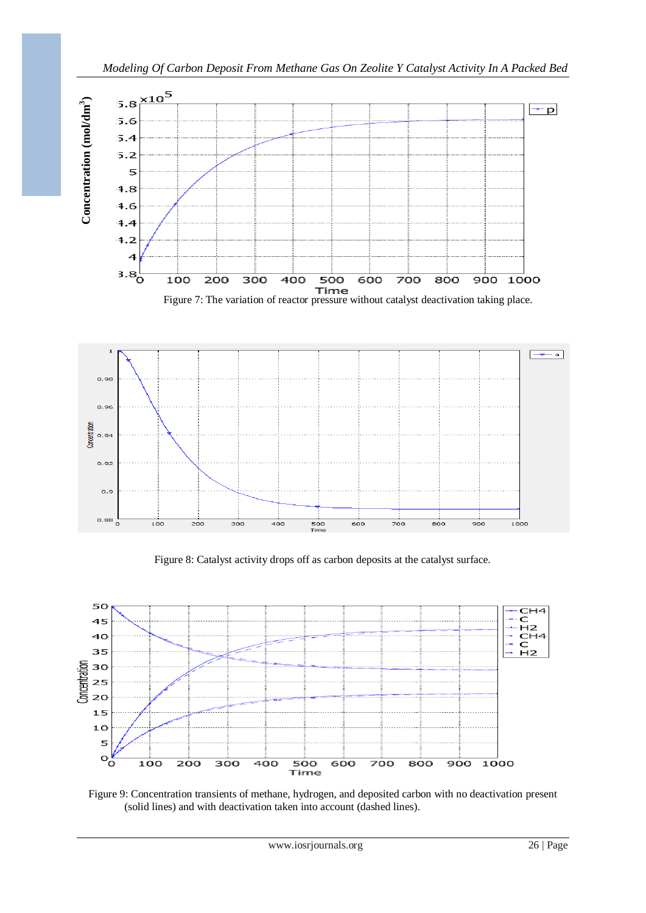



Figure 8: Catalyst activity drops off as carbon deposits at the catalyst surface.



Figure 9: Concentration transients of methane, hydrogen, and deposited carbon with no deactivation present (solid lines) and with deactivation taken into account (dashed lines).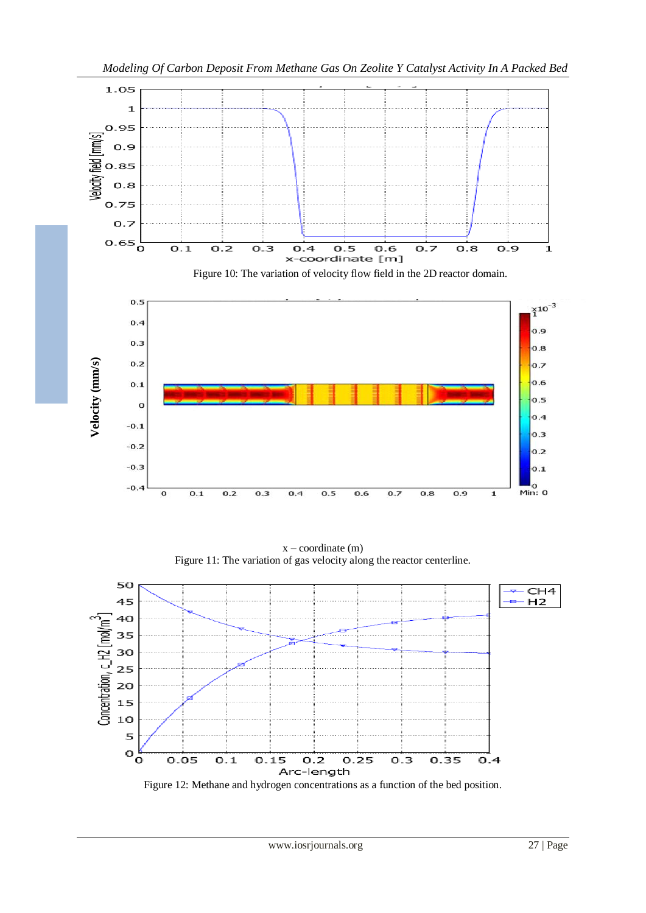

 $x$  – coordinate  $(m)$ Figure 11: The variation of gas velocity along the reactor centerline.

 $0.5$ 

 $0.6$ 

 $0.7$ 

 $0.8$ 

 $0.9$ 

 $\overline{\mathbf{1}}$ 

 $-0.1$ 

 $-0.2$ 

 $-0.3$ 

 $-0.4$ 

 $\overline{\mathbf{o}}$ 

 $0.1$ 

 $0.2$ 

 $0.3$ 

 $0.4$ 



Figure 12: Methane and hydrogen concentrations as a function of the bed position.

 $0.4$ 

 $0.3$ 

 $0.2$ 

 $0.1$ 

 $M$ <sub>0</sub><br>Min: 0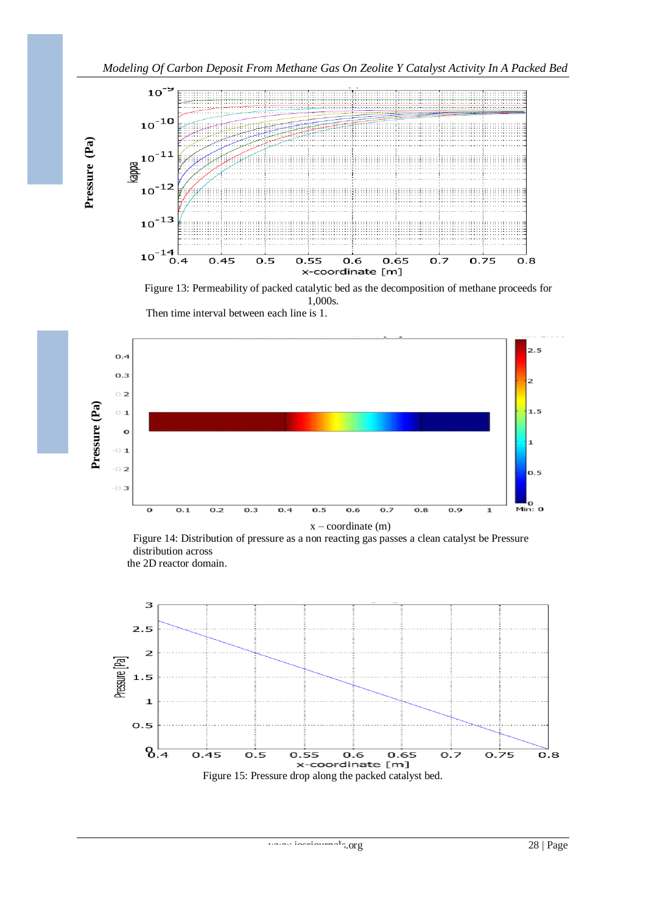

Figure 13: Permeability of packed catalytic bed as the decomposition of methane proceeds for 1,000s. Then time interval between each line is 1.



Figure 14: Distribution of pressure as a non reacting gas passes a clean catalyst be Pressure distribution across the 2D reactor domain.

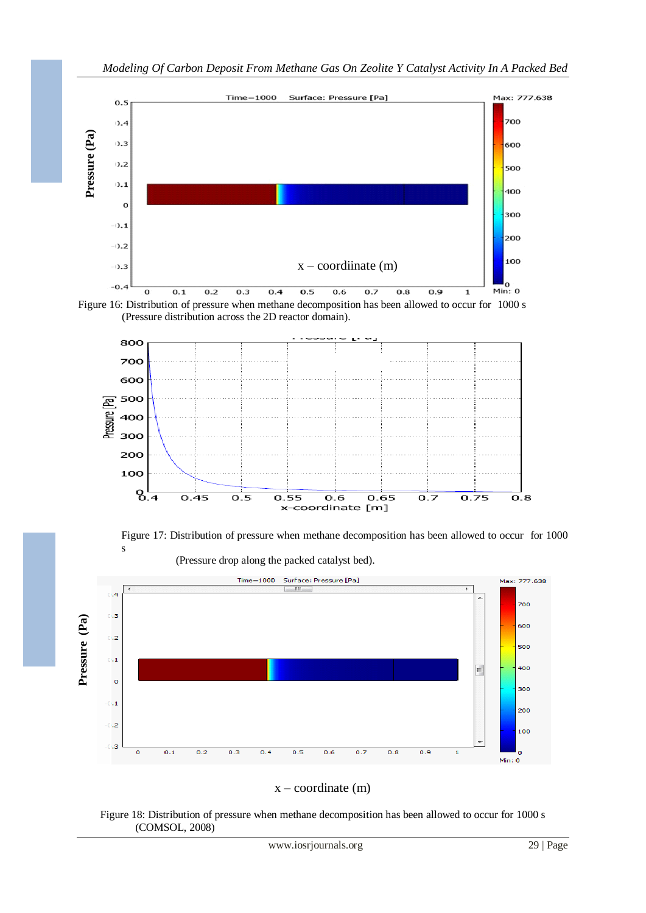





Figure 17: Distribution of pressure when methane decomposition has been allowed to occur for 1000 s (Pressure drop along the packed catalyst bed).





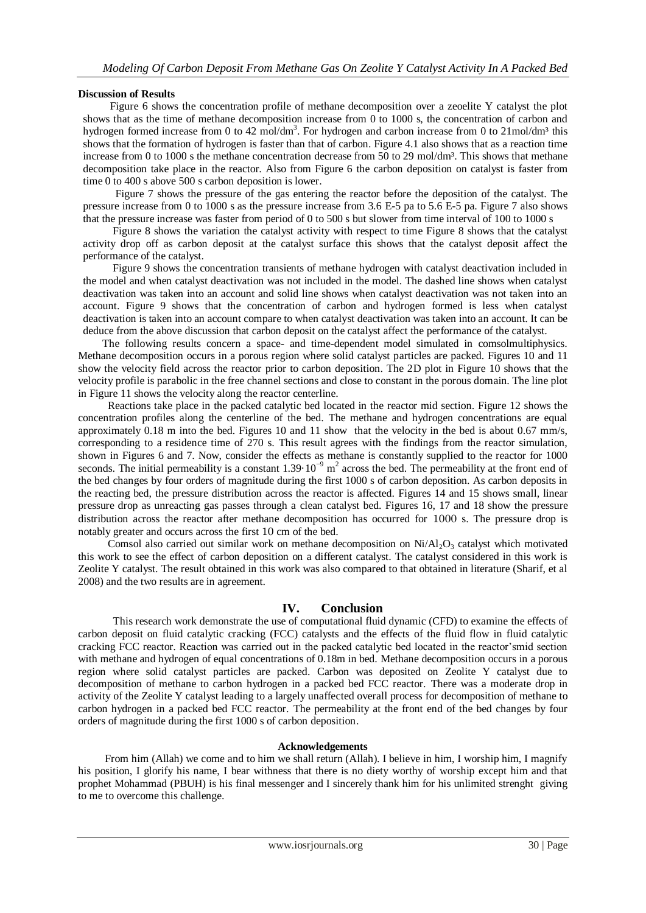### **Discussion of Results**

 Figure 6 shows the concentration profile of methane decomposition over a zeoelite Y catalyst the plot shows that as the time of methane decomposition increase from 0 to 1000 s, the concentration of carbon and hydrogen formed increase from 0 to 42 mol/dm<sup>3</sup>. For hydrogen and carbon increase from 0 to 21mol/dm<sup>3</sup> this shows that the formation of hydrogen is faster than that of carbon. Figure 4.1 also shows that as a reaction time increase from 0 to 1000 s the methane concentration decrease from 50 to 29 mol/dm<sup>3</sup>. This shows that methane decomposition take place in the reactor. Also from Figure 6 the carbon deposition on catalyst is faster from time 0 to 400 s above 500 s carbon deposition is lower.

 Figure 7 shows the pressure of the gas entering the reactor before the deposition of the catalyst. The pressure increase from 0 to 1000 s as the pressure increase from 3.6 E-5 pa to 5.6 E-5 pa. Figure 7 also shows that the pressure increase was faster from period of 0 to 500 s but slower from time interval of 100 to 1000 s

 Figure 8 shows the variation the catalyst activity with respect to time Figure 8 shows that the catalyst activity drop off as carbon deposit at the catalyst surface this shows that the catalyst deposit affect the performance of the catalyst.

 Figure 9 shows the concentration transients of methane hydrogen with catalyst deactivation included in the model and when catalyst deactivation was not included in the model. The dashed line shows when catalyst deactivation was taken into an account and solid line shows when catalyst deactivation was not taken into an account. Figure 9 shows that the concentration of carbon and hydrogen formed is less when catalyst deactivation is taken into an account compare to when catalyst deactivation was taken into an account. It can be deduce from the above discussion that carbon deposit on the catalyst affect the performance of the catalyst.

 The following results concern a space- and time-dependent model simulated in comsolmultiphysics. Methane decomposition occurs in a porous region where solid catalyst particles are packed. Figures 10 and 11 show the velocity field across the reactor prior to carbon deposition. The 2D plot in Figure 10 shows that the velocity profile is parabolic in the free channel sections and close to constant in the porous domain. The line plot in Figure 11 shows the velocity along the reactor centerline.

 Reactions take place in the packed catalytic bed located in the reactor mid section. Figure 12 shows the concentration profiles along the centerline of the bed. The methane and hydrogen concentrations are equal approximately 0.18 m into the bed. Figures 10 and 11 show that the velocity in the bed is about 0.67 mm/s, corresponding to a residence time of 270 s. This result agrees with the findings from the reactor simulation, shown in Figures 6 and 7. Now, consider the effects as methane is constantly supplied to the reactor for 1000 seconds. The initial permeability is a constant  $1.39 \cdot 10^{-9}$  m<sup>2</sup> across the bed. The permeability at the front end of the bed changes by four orders of magnitude during the first 1000 s of carbon deposition. As carbon deposits in the reacting bed, the pressure distribution across the reactor is affected. Figures 14 and 15 shows small, linear pressure drop as unreacting gas passes through a clean catalyst bed. Figures 16, 17 and 18 show the pressure distribution across the reactor after methane decomposition has occurred for 1000 s. The pressure drop is notably greater and occurs across the first 10 cm of the bed.

Comsol also carried out similar work on methane decomposition on  $Ni/Al<sub>2</sub>O<sub>3</sub>$  catalyst which motivated this work to see the effect of carbon deposition on a different catalyst. The catalyst considered in this work is Zeolite Y catalyst. The result obtained in this work was also compared to that obtained in literature (Sharif, et al 2008) and the two results are in agreement.

# **IV. Conclusion**

 This research work demonstrate the use of computational fluid dynamic (CFD) to examine the effects of carbon deposit on fluid catalytic cracking (FCC) catalysts and the effects of the fluid flow in fluid catalytic cracking FCC reactor. Reaction was carried out in the packed catalytic bed located in the reactor'smid section with methane and hydrogen of equal concentrations of 0.18m in bed. Methane decomposition occurs in a porous region where solid catalyst particles are packed. Carbon was deposited on Zeolite Y catalyst due to decomposition of methane to carbon hydrogen in a packed bed FCC reactor. There was a moderate drop in activity of the Zeolite Y catalyst leading to a largely unaffected overall process for decomposition of methane to carbon hydrogen in a packed bed FCC reactor. The permeability at the front end of the bed changes by four orders of magnitude during the first 1000 s of carbon deposition.

#### **Acknowledgements**

 From him (Allah) we come and to him we shall return (Allah). I believe in him, I worship him, I magnify his position, I glorify his name, I bear withness that there is no diety worthy of worship except him and that prophet Mohammad (PBUH) is his final messenger and I sincerely thank him for his unlimited strenght giving to me to overcome this challenge.